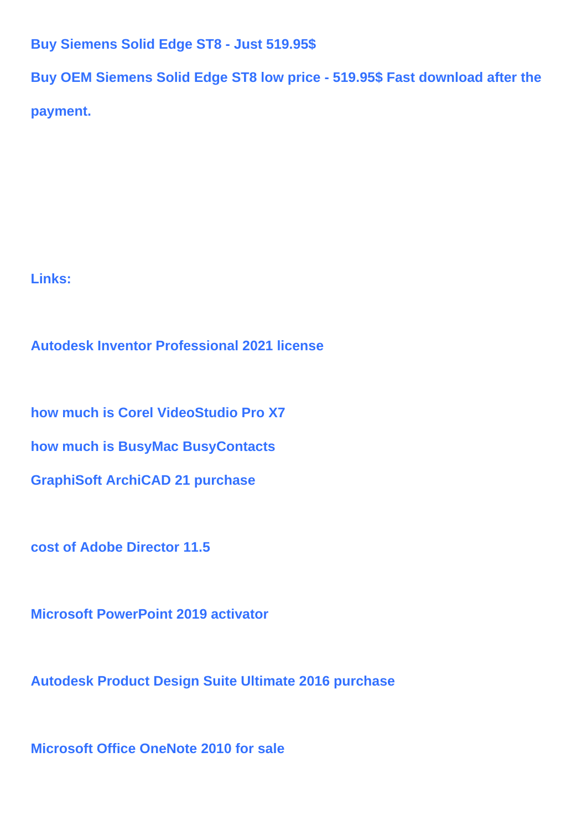## **Buy Siemens Solid Edge ST8 - Just 519.95\$**

**Buy OEM Siemens Solid Edge ST8 low price - 519.95\$ Fast download after the**

**payment.**

**Links:**

**Autodesk Inventor Professional 2021 license**

**how much is Corel VideoStudio Pro X7**

**how much is BusyMac BusyContacts**

**GraphiSoft ArchiCAD 21 purchase**

**cost of Adobe Director 11.5**

**Microsoft PowerPoint 2019 activator**

**Autodesk Product Design Suite Ultimate 2016 purchase**

**Microsoft Office OneNote 2010 for sale**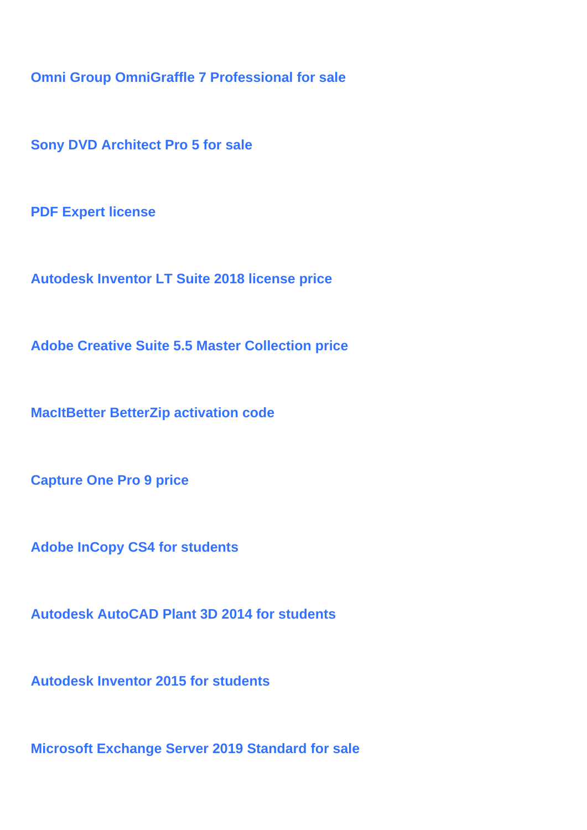**Omni Group OmniGraffle 7 Professional for sale**

**Sony DVD Architect Pro 5 for sale**

**PDF Expert license**

**Autodesk Inventor LT Suite 2018 license price**

**Adobe Creative Suite 5.5 Master Collection price**

**MacItBetter BetterZip activation code**

**Capture One Pro 9 price**

**Adobe InCopy CS4 for students**

**Autodesk AutoCAD Plant 3D 2014 for students**

**Autodesk Inventor 2015 for students**

**Microsoft Exchange Server 2019 Standard for sale**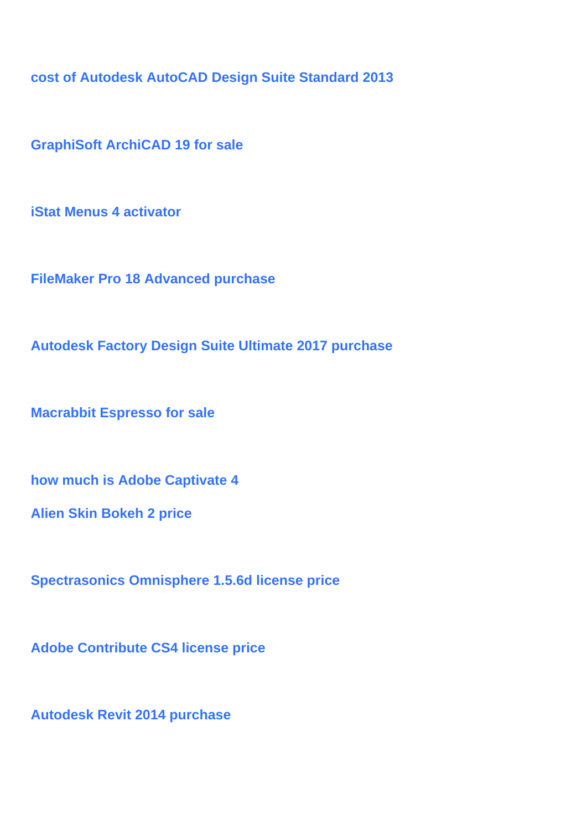**cost of Autodesk AutoCAD Design Suite Standard 2013**

**GraphiSoft ArchiCAD 19 for sale**

**iStat Menus 4 activator**

**FileMaker Pro 18 Advanced purchase**

**Autodesk Factory Design Suite Ultimate 2017 purchase**

**Macrabbit Espresso for sale**

**how much is Adobe Captivate 4**

**Alien Skin Bokeh 2 price**

**Spectrasonics Omnisphere 1.5.6d license price**

**Adobe Contribute CS4 license price**

**Autodesk Revit 2014 purchase**